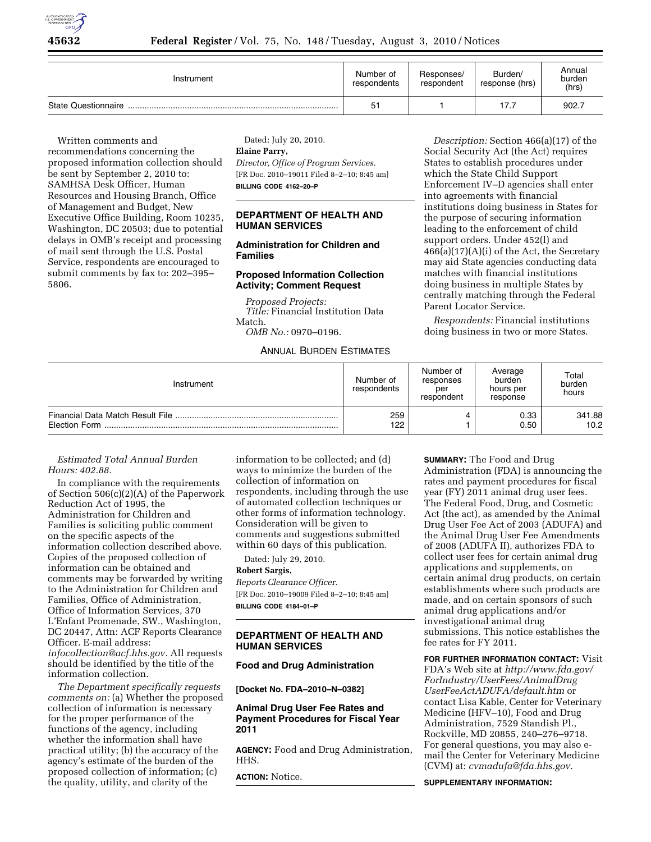

| Instrument          | Number of<br>respondents | Responses/<br>respondent | Burden/<br>response (hrs) | Annual<br>burden<br>(hrs) |
|---------------------|--------------------------|--------------------------|---------------------------|---------------------------|
| State Questionnaire | 51                       |                          | 17.7                      | 902.7                     |

Written comments and recommendations concerning the proposed information collection should be sent by September 2, 2010 to: SAMHSA Desk Officer, Human Resources and Housing Branch, Office of Management and Budget, New Executive Office Building, Room 10235, Washington, DC 20503; due to potential delays in OMB's receipt and processing of mail sent through the U.S. Postal Service, respondents are encouraged to submit comments by fax to: 202–395– 5806.

Dated: July 20, 2010.

**Elaine Parry,** 

*Director, Office of Program Services.*  [FR Doc. 2010–19011 Filed 8–2–10; 8:45 am] **BILLING CODE 4162–20–P** 

**DEPARTMENT OF HEALTH AND HUMAN SERVICES** 

## **Administration for Children and Families**

## **Proposed Information Collection Activity; Comment Request**

*Proposed Projects: Title:* Financial Institution Data Match. *OMB No.:* 0970–0196.

# ANNUAL BURDEN ESTIMATES

*Description:* Section 466(a)(17) of the Social Security Act (the Act) requires States to establish procedures under which the State Child Support Enforcement IV–D agencies shall enter into agreements with financial institutions doing business in States for the purpose of securing information leading to the enforcement of child support orders. Under 452(l) and 466(a)(17)(A)(i) of the Act, the Secretary may aid State agencies conducting data matches with financial institutions doing business in multiple States by centrally matching through the Federal Parent Locator Service.

*Respondents:* Financial institutions doing business in two or more States.

| Instrument | Number of<br>respondents | Number of<br>responses<br>per<br>respondent | Average<br>burden<br>hours per<br>response | Total<br>burden<br>hours |
|------------|--------------------------|---------------------------------------------|--------------------------------------------|--------------------------|
|            | 259                      | zı                                          | 0.33                                       | 341.88                   |
|            | 122                      |                                             | 0.50                                       | 10.2                     |

## *Estimated Total Annual Burden Hours: 402.88.*

In compliance with the requirements of Section 506(c)(2)(A) of the Paperwork Reduction Act of 1995, the Administration for Children and Families is soliciting public comment on the specific aspects of the information collection described above. Copies of the proposed collection of information can be obtained and comments may be forwarded by writing to the Administration for Children and Families, Office of Administration, Office of Information Services, 370 L'Enfant Promenade, SW., Washington, DC 20447, Attn: ACF Reports Clearance Officer. E-mail address: *[infocollection@acf.hhs.gov.](mailto:infocollection@acf.hhs.gov)* All requests should be identified by the title of the information collection.

*The Department specifically requests comments on:* (a) Whether the proposed collection of information is necessary for the proper performance of the functions of the agency, including whether the information shall have practical utility; (b) the accuracy of the agency's estimate of the burden of the proposed collection of information; (c) the quality, utility, and clarity of the

information to be collected; and (d) ways to minimize the burden of the collection of information on respondents, including through the use of automated collection techniques or other forms of information technology. Consideration will be given to comments and suggestions submitted within 60 days of this publication.

Dated: July 29, 2010.

#### **Robert Sargis,**

*Reports Clearance Officer.*  [FR Doc. 2010–19009 Filed 8–2–10; 8:45 am] **BILLING CODE 4184–01–P** 

# **DEPARTMENT OF HEALTH AND HUMAN SERVICES**

## **Food and Drug Administration**

**[Docket No. FDA–2010–N–0382]** 

# **Animal Drug User Fee Rates and Payment Procedures for Fiscal Year 2011**

**AGENCY:** Food and Drug Administration, HHS.

**ACTION:** Notice.

**SUMMARY:** The Food and Drug Administration (FDA) is announcing the rates and payment procedures for fiscal year (FY) 2011 animal drug user fees. The Federal Food, Drug, and Cosmetic Act (the act), as amended by the Animal Drug User Fee Act of 2003 (ADUFA) and the Animal Drug User Fee Amendments of 2008 (ADUFA II), authorizes FDA to collect user fees for certain animal drug applications and supplements, on certain animal drug products, on certain establishments where such products are made, and on certain sponsors of such animal drug applications and/or investigational animal drug submissions. This notice establishes the fee rates for FY 2011.

**FOR FURTHER INFORMATION CONTACT:** Visit FDA's Web site at *[http://www.fda.gov/](http://www.fda.gov/ForIndustry/UserFees/AnimalDrugUserFeeActADUFA/default.htm) [ForIndustry/UserFees/AnimalDrug](http://www.fda.gov/ForIndustry/UserFees/AnimalDrugUserFeeActADUFA/default.htm) [UserFeeActADUFA/default.htm](http://www.fda.gov/ForIndustry/UserFees/AnimalDrugUserFeeActADUFA/default.htm)* or contact Lisa Kable, Center for Veterinary Medicine (HFV–10), Food and Drug Administration, 7529 Standish Pl., Rockville, MD 20855, 240–276–9718. For general questions, you may also email the Center for Veterinary Medicine (CVM) at: *[cvmadufa@fda.hhs.gov](mailto:cvmadufa@fda.hhs.gov)*.

#### **SUPPLEMENTARY INFORMATION:**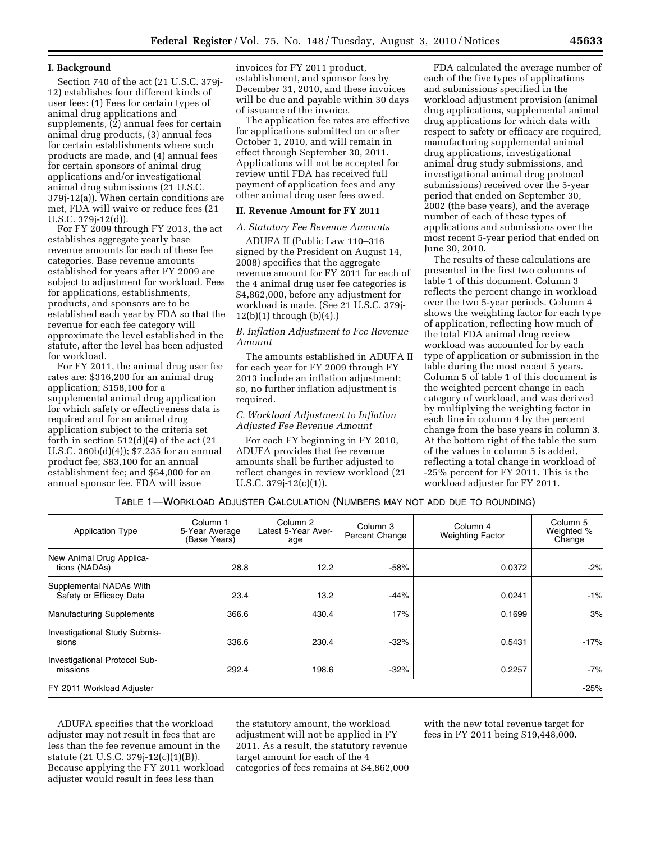#### **I. Background**

Section 740 of the act (21 U.S.C. 379j-12) establishes four different kinds of user fees: (1) Fees for certain types of animal drug applications and supplements, (2) annual fees for certain animal drug products, (3) annual fees for certain establishments where such products are made, and (4) annual fees for certain sponsors of animal drug applications and/or investigational animal drug submissions (21 U.S.C. 379j-12(a)). When certain conditions are met, FDA will waive or reduce fees (21 U.S.C. 379j-12(d)).

For FY 2009 through FY 2013, the act establishes aggregate yearly base revenue amounts for each of these fee categories. Base revenue amounts established for years after FY 2009 are subject to adjustment for workload. Fees for applications, establishments, products, and sponsors are to be established each year by FDA so that the revenue for each fee category will approximate the level established in the statute, after the level has been adjusted for workload.

For FY 2011, the animal drug user fee rates are: \$316,200 for an animal drug application; \$158,100 for a supplemental animal drug application for which safety or effectiveness data is required and for an animal drug application subject to the criteria set forth in section 512(d)(4) of the act (21 U.S.C. 360b(d)(4)); \$7,235 for an annual product fee; \$83,100 for an annual establishment fee; and \$64,000 for an annual sponsor fee. FDA will issue

invoices for FY 2011 product, establishment, and sponsor fees by December 31, 2010, and these invoices will be due and payable within 30 days of issuance of the invoice.

The application fee rates are effective for applications submitted on or after October 1, 2010, and will remain in effect through September 30, 2011. Applications will not be accepted for review until FDA has received full payment of application fees and any other animal drug user fees owed.

#### **II. Revenue Amount for FY 2011**

#### *A. Statutory Fee Revenue Amounts*

ADUFA II (Public Law 110–316 signed by the President on August 14, 2008) specifies that the aggregate revenue amount for FY 2011 for each of the 4 animal drug user fee categories is \$4,862,000, before any adjustment for workload is made. (See 21 U.S.C. 379j-12(b)(1) through (b)(4).)

## *B. Inflation Adjustment to Fee Revenue Amount*

The amounts established in ADUFA II for each year for FY 2009 through FY 2013 include an inflation adjustment; so, no further inflation adjustment is required.

## *C. Workload Adjustment to Inflation Adjusted Fee Revenue Amount*

For each FY beginning in FY 2010, ADUFA provides that fee revenue amounts shall be further adjusted to reflect changes in review workload (21 U.S.C. 379j-12(c)(1)).

FDA calculated the average number of each of the five types of applications and submissions specified in the workload adjustment provision (animal drug applications, supplemental animal drug applications for which data with respect to safety or efficacy are required, manufacturing supplemental animal drug applications, investigational animal drug study submissions, and investigational animal drug protocol submissions) received over the 5-year period that ended on September 30, 2002 (the base years), and the average number of each of these types of applications and submissions over the most recent 5-year period that ended on June 30, 2010.

The results of these calculations are presented in the first two columns of table 1 of this document. Column 3 reflects the percent change in workload over the two 5-year periods. Column 4 shows the weighting factor for each type of application, reflecting how much of the total FDA animal drug review workload was accounted for by each type of application or submission in the table during the most recent 5 years. Column 5 of table 1 of this document is the weighted percent change in each category of workload, and was derived by multiplying the weighting factor in each line in column 4 by the percent change from the base years in column 3. At the bottom right of the table the sum of the values in column 5 is added, reflecting a total change in workload of -25% percent for FY 2011. This is the workload adjuster for FY 2011.

TABLE 1—WORKLOAD ADJUSTER CALCULATION (NUMBERS MAY NOT ADD DUE TO ROUNDING)

| <b>Application Type</b>                            | Column 1<br>5-Year Average<br>(Base Years) | Column 2<br>Latest 5-Year Aver-<br>age | Column 3<br>Percent Change | Column 4<br><b>Weighting Factor</b> | Column 5<br>Weighted %<br>Change |
|----------------------------------------------------|--------------------------------------------|----------------------------------------|----------------------------|-------------------------------------|----------------------------------|
| New Animal Drug Applica-<br>tions (NADAs)          | 28.8                                       | 12.2                                   | $-58%$                     | 0.0372                              | $-2%$                            |
| Supplemental NADAs With<br>Safety or Efficacy Data | 23.4                                       | 13.2                                   | $-44%$                     | 0.0241                              | $-1%$                            |
| <b>Manufacturing Supplements</b>                   | 366.6                                      | 430.4                                  | 17%                        | 0.1699                              | 3%                               |
| <b>Investigational Study Submis-</b><br>sions      | 336.6                                      | 230.4                                  | $-32%$                     | 0.5431                              | $-17%$                           |
| Investigational Protocol Sub-<br>missions          | 292.4                                      | 198.6                                  | $-32%$                     | 0.2257                              | $-7%$                            |
| FY 2011 Workload Adjuster                          |                                            |                                        |                            |                                     | $-25%$                           |

ADUFA specifies that the workload adjuster may not result in fees that are less than the fee revenue amount in the statute (21 U.S.C. 379j-12(c)(1)(B)). Because applying the FY 2011 workload adjuster would result in fees less than

the statutory amount, the workload adjustment will not be applied in FY 2011. As a result, the statutory revenue target amount for each of the 4 categories of fees remains at \$4,862,000 with the new total revenue target for fees in FY 2011 being \$19,448,000.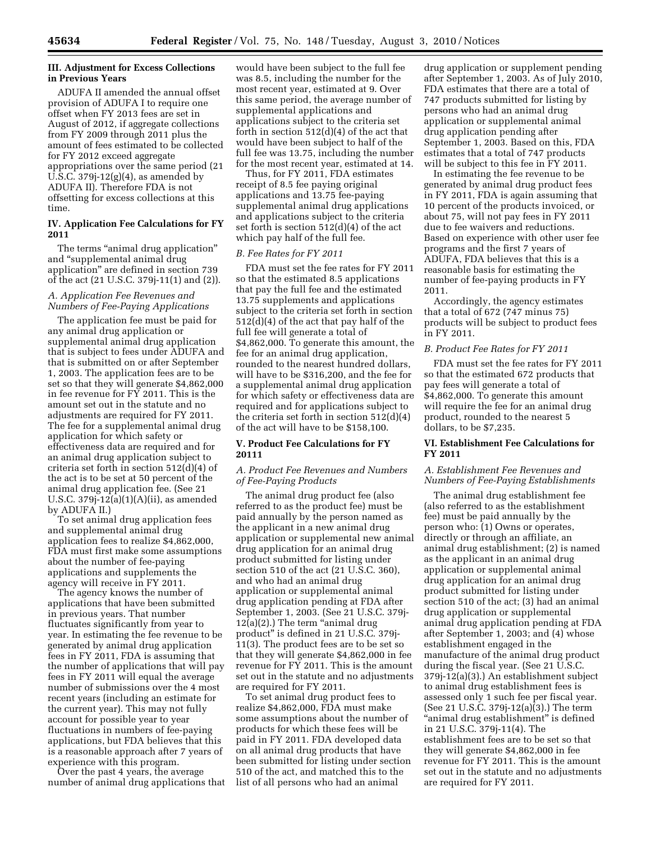## **III. Adjustment for Excess Collections in Previous Years**

ADUFA II amended the annual offset provision of ADUFA I to require one offset when FY 2013 fees are set in August of 2012, if aggregate collections from FY 2009 through 2011 plus the amount of fees estimated to be collected for FY 2012 exceed aggregate appropriations over the same period (21 U.S.C. 379j-12(g)(4), as amended by ADUFA II). Therefore FDA is not offsetting for excess collections at this time.

## **IV. Application Fee Calculations for FY 2011**

The terms "animal drug application" and ''supplemental animal drug application'' are defined in section 739 of the act (21 U.S.C. 379j-11(1) and (2)).

## *A. Application Fee Revenues and Numbers of Fee-Paying Applications*

The application fee must be paid for any animal drug application or supplemental animal drug application that is subject to fees under ADUFA and that is submitted on or after September 1, 2003. The application fees are to be set so that they will generate \$4,862,000 in fee revenue for FY 2011. This is the amount set out in the statute and no adjustments are required for FY 2011. The fee for a supplemental animal drug application for which safety or effectiveness data are required and for an animal drug application subject to criteria set forth in section 512(d)(4) of the act is to be set at 50 percent of the animal drug application fee. (See 21 U.S.C. 379j-12(a)(1)(A)(ii), as amended by ADUFA II.)

To set animal drug application fees and supplemental animal drug application fees to realize \$4,862,000, FDA must first make some assumptions about the number of fee-paying applications and supplements the agency will receive in FY 2011.

The agency knows the number of applications that have been submitted in previous years. That number fluctuates significantly from year to year. In estimating the fee revenue to be generated by animal drug application fees in FY 2011, FDA is assuming that the number of applications that will pay fees in FY 2011 will equal the average number of submissions over the 4 most recent years (including an estimate for the current year). This may not fully account for possible year to year fluctuations in numbers of fee-paying applications, but FDA believes that this is a reasonable approach after 7 years of experience with this program.

Over the past 4 years, the average number of animal drug applications that would have been subject to the full fee was 8.5, including the number for the most recent year, estimated at 9. Over this same period, the average number of supplemental applications and applications subject to the criteria set forth in section 512(d)(4) of the act that would have been subject to half of the full fee was 13.75, including the number for the most recent year, estimated at 14.

Thus, for FY 2011, FDA estimates receipt of 8.5 fee paying original applications and 13.75 fee-paying supplemental animal drug applications and applications subject to the criteria set forth is section 512(d)(4) of the act which pay half of the full fee.

## *B. Fee Rates for FY 2011*

FDA must set the fee rates for FY 2011 so that the estimated 8.5 applications that pay the full fee and the estimated 13.75 supplements and applications subject to the criteria set forth in section 512(d)(4) of the act that pay half of the full fee will generate a total of \$4,862,000. To generate this amount, the fee for an animal drug application, rounded to the nearest hundred dollars, will have to be \$316,200, and the fee for a supplemental animal drug application for which safety or effectiveness data are required and for applications subject to the criteria set forth in section 512(d)(4) of the act will have to be \$158,100.

## **V. Product Fee Calculations for FY 20111**

#### *A. Product Fee Revenues and Numbers of Fee-Paying Products*

The animal drug product fee (also referred to as the product fee) must be paid annually by the person named as the applicant in a new animal drug application or supplemental new animal drug application for an animal drug product submitted for listing under section 510 of the act (21 U.S.C. 360), and who had an animal drug application or supplemental animal drug application pending at FDA after September 1, 2003. (See 21 U.S.C. 379j- $12(a)(2)$ .) The term "animal drug product'' is defined in 21 U.S.C. 379j-11(3). The product fees are to be set so that they will generate \$4,862,000 in fee revenue for FY 2011. This is the amount set out in the statute and no adjustments are required for FY 2011.

To set animal drug product fees to realize \$4,862,000, FDA must make some assumptions about the number of products for which these fees will be paid in FY 2011. FDA developed data on all animal drug products that have been submitted for listing under section 510 of the act, and matched this to the list of all persons who had an animal

drug application or supplement pending after September 1, 2003. As of July 2010, FDA estimates that there are a total of 747 products submitted for listing by persons who had an animal drug application or supplemental animal drug application pending after September 1, 2003. Based on this, FDA estimates that a total of 747 products will be subject to this fee in FY 2011.

In estimating the fee revenue to be generated by animal drug product fees in FY 2011, FDA is again assuming that 10 percent of the products invoiced, or about 75, will not pay fees in FY 2011 due to fee waivers and reductions. Based on experience with other user fee programs and the first 7 years of ADUFA, FDA believes that this is a reasonable basis for estimating the number of fee-paying products in FY 2011.

Accordingly, the agency estimates that a total of 672 (747 minus 75) products will be subject to product fees in FY 2011.

## *B. Product Fee Rates for FY 2011*

FDA must set the fee rates for FY 2011 so that the estimated 672 products that pay fees will generate a total of \$4,862,000. To generate this amount will require the fee for an animal drug product, rounded to the nearest 5 dollars, to be \$7,235.

## **VI. Establishment Fee Calculations for FY 2011**

## *A. Establishment Fee Revenues and Numbers of Fee-Paying Establishments*

The animal drug establishment fee (also referred to as the establishment fee) must be paid annually by the person who: (1) Owns or operates, directly or through an affiliate, an animal drug establishment; (2) is named as the applicant in an animal drug application or supplemental animal drug application for an animal drug product submitted for listing under section 510 of the act; (3) had an animal drug application or supplemental animal drug application pending at FDA after September 1, 2003; and (4) whose establishment engaged in the manufacture of the animal drug product during the fiscal year. (See 21 U.S.C. 379j-12(a)(3).) An establishment subject to animal drug establishment fees is assessed only 1 such fee per fiscal year. (See 21 U.S.C. 379j-12(a)(3).) The term ''animal drug establishment'' is defined in 21 U.S.C. 379j-11(4). The establishment fees are to be set so that they will generate \$4,862,000 in fee revenue for FY 2011. This is the amount set out in the statute and no adjustments are required for FY 2011.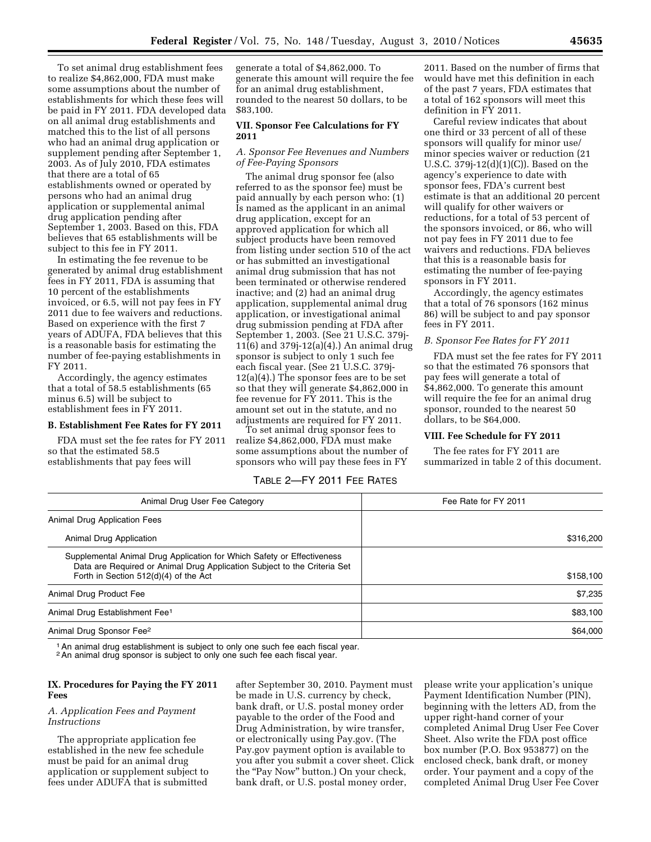To set animal drug establishment fees to realize \$4,862,000, FDA must make some assumptions about the number of establishments for which these fees will be paid in FY 2011. FDA developed data on all animal drug establishments and matched this to the list of all persons who had an animal drug application or supplement pending after September 1, 2003. As of July 2010, FDA estimates that there are a total of 65 establishments owned or operated by persons who had an animal drug application or supplemental animal drug application pending after September 1, 2003. Based on this, FDA believes that 65 establishments will be subject to this fee in FY 2011.

In estimating the fee revenue to be generated by animal drug establishment fees in FY 2011, FDA is assuming that 10 percent of the establishments invoiced, or 6.5, will not pay fees in FY 2011 due to fee waivers and reductions. Based on experience with the first 7 years of ADUFA, FDA believes that this is a reasonable basis for estimating the number of fee-paying establishments in FY 2011.

Accordingly, the agency estimates that a total of 58.5 establishments (65 minus 6.5) will be subject to establishment fees in FY 2011.

# **B. Establishment Fee Rates for FY 2011**

FDA must set the fee rates for FY 2011 so that the estimated 58.5 establishments that pay fees will

generate a total of \$4,862,000. To generate this amount will require the fee for an animal drug establishment, rounded to the nearest 50 dollars, to be \$83,100.

#### **VII. Sponsor Fee Calculations for FY 2011**

## *A. Sponsor Fee Revenues and Numbers of Fee-Paying Sponsors*

The animal drug sponsor fee (also referred to as the sponsor fee) must be paid annually by each person who: (1) Is named as the applicant in an animal drug application, except for an approved application for which all subject products have been removed from listing under section 510 of the act or has submitted an investigational animal drug submission that has not been terminated or otherwise rendered inactive; and (2) had an animal drug application, supplemental animal drug application, or investigational animal drug submission pending at FDA after September 1, 2003. (See 21 U.S.C. 379j-11(6) and 379j-12(a)(4).) An animal drug sponsor is subject to only 1 such fee each fiscal year. (See 21 U.S.C. 379j-12(a)(4).) The sponsor fees are to be set so that they will generate \$4,862,000 in fee revenue for FY 2011. This is the amount set out in the statute, and no adjustments are required for FY 2011.

To set animal drug sponsor fees to realize \$4,862,000, FDA must make some assumptions about the number of sponsors who will pay these fees in FY

# TABLE 2—FY 2011 FEE RATES

2011. Based on the number of firms that would have met this definition in each of the past 7 years, FDA estimates that a total of 162 sponsors will meet this definition in FY 2011.

Careful review indicates that about one third or 33 percent of all of these sponsors will qualify for minor use/ minor species waiver or reduction (21 U.S.C. 379j-12(d)(1)(C)). Based on the agency's experience to date with sponsor fees, FDA's current best estimate is that an additional 20 percent will qualify for other waivers or reductions, for a total of 53 percent of the sponsors invoiced, or 86, who will not pay fees in FY 2011 due to fee waivers and reductions. FDA believes that this is a reasonable basis for estimating the number of fee-paying sponsors in FY 2011.

Accordingly, the agency estimates that a total of 76 sponsors (162 minus 86) will be subject to and pay sponsor fees in FY 2011.

#### *B. Sponsor Fee Rates for FY 2011*

FDA must set the fee rates for FY 2011 so that the estimated 76 sponsors that pay fees will generate a total of \$4,862,000. To generate this amount will require the fee for an animal drug sponsor, rounded to the nearest 50 dollars, to be \$64,000.

## **VIII. Fee Schedule for FY 2011**

The fee rates for FY 2011 are summarized in table 2 of this document.

| Animal Drug User Fee Category                                                                                                                                                               | Fee Rate for FY 2011 |  |  |
|---------------------------------------------------------------------------------------------------------------------------------------------------------------------------------------------|----------------------|--|--|
| Animal Drug Application Fees                                                                                                                                                                |                      |  |  |
| Animal Drug Application                                                                                                                                                                     | \$316,200            |  |  |
| Supplemental Animal Drug Application for Which Safety or Effectiveness<br>Data are Required or Animal Drug Application Subject to the Criteria Set<br>Forth in Section 512(d)(4) of the Act | \$158,100            |  |  |
| Animal Drug Product Fee                                                                                                                                                                     | \$7,235              |  |  |
| Animal Drug Establishment Fee <sup>1</sup>                                                                                                                                                  | \$83,100             |  |  |
| Animal Drug Sponsor Fee <sup>2</sup>                                                                                                                                                        | \$64,000             |  |  |

<sup>1</sup> An animal drug establishment is subject to only one such fee each fiscal year.

2An animal drug sponsor is subject to only one such fee each fiscal year.

## **IX. Procedures for Paying the FY 2011 Fees**

#### *A. Application Fees and Payment Instructions*

The appropriate application fee established in the new fee schedule must be paid for an animal drug application or supplement subject to fees under ADUFA that is submitted

after September 30, 2010. Payment must be made in U.S. currency by check, bank draft, or U.S. postal money order payable to the order of the Food and Drug Administration, by wire transfer, or electronically using Pay.gov. (The Pay.gov payment option is available to you after you submit a cover sheet. Click the "Pay Now" button.) On your check, bank draft, or U.S. postal money order,

please write your application's unique Payment Identification Number (PIN), beginning with the letters AD, from the upper right-hand corner of your completed Animal Drug User Fee Cover Sheet. Also write the FDA post office box number (P.O. Box 953877) on the enclosed check, bank draft, or money order. Your payment and a copy of the completed Animal Drug User Fee Cover